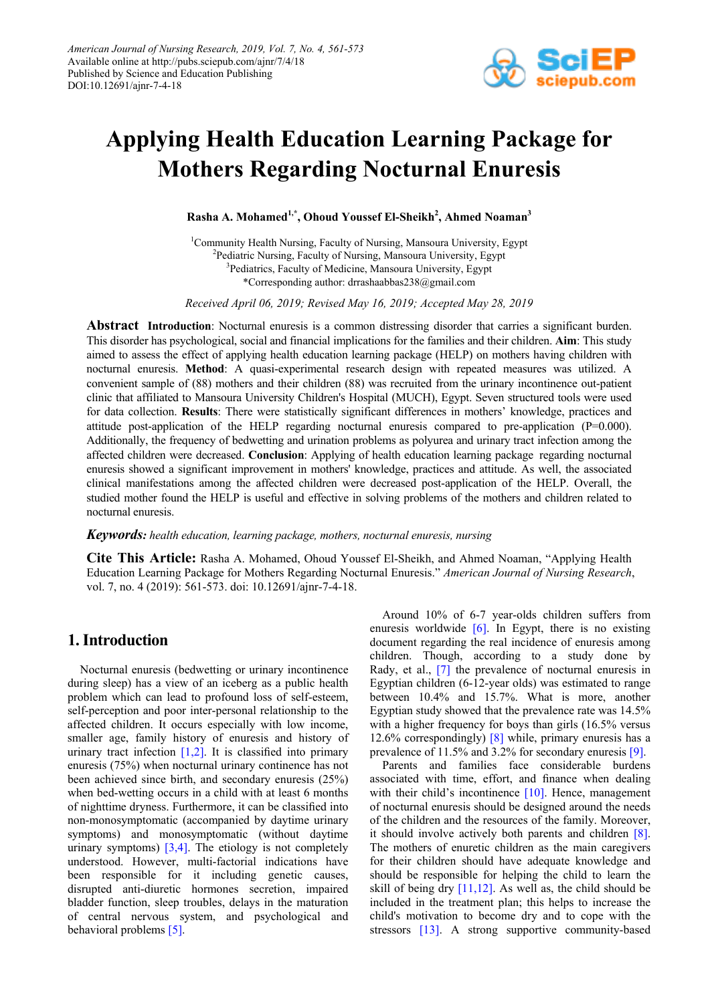

# **Applying Health Education Learning Package for Mothers Regarding Nocturnal Enuresis**

 $\boldsymbol{\mathrm{Rasha}}$  A. Mohamed<sup>1,\*</sup>, Ohoud Youssef El-Sheikh<sup>2</sup>, Ahmed Noaman<sup>3</sup>

<sup>1</sup>Community Health Nursing, Faculty of Nursing, Mansoura University, Egypt <sup>2</sup>Pediatric Nursing, Faculty of Nursing, Mansoura University, Egypt <sup>3</sup>Pediatrics, Faculty of Medicine, Mansoura University, Egypt \*Corresponding author: drrashaabbas238@gmail.com

*Received April 06, 2019; Revised May 16, 2019; Accepted May 28, 2019*

**Abstract Introduction**: Nocturnal enuresis is a common distressing disorder that carries a significant burden. This disorder has psychological, social and financial implications for the families and their children. **Aim**: This study aimed to assess the effect of applying health education learning package (HELP) on mothers having children with nocturnal enuresis. **Method**: A quasi-experimental research design with repeated measures was utilized. A convenient sample of (88) mothers and their children (88) was recruited from the urinary incontinence out-patient clinic that affiliated to Mansoura University Children's Hospital (MUCH), Egypt. Seven structured tools were used for data collection. **Results**: There were statistically significant differences in mothers' knowledge, practices and attitude post-application of the HELP regarding nocturnal enuresis compared to pre-application  $(P=0.000)$ . Additionally, the frequency of bedwetting and urination problems as polyurea and urinary tract infection among the affected children were decreased. **Conclusion**: Applying of health education learning package regarding nocturnal enuresis showed a significant improvement in mothers' knowledge, practices and attitude. As well, the associated clinical manifestations among the affected children were decreased post-application of the HELP. Overall, the studied mother found the HELP is useful and effective in solving problems of the mothers and children related to nocturnal enuresis.

#### *Keywords: health education, learning package, mothers, nocturnal enuresis, nursing*

**Cite This Article:** Rasha A. Mohamed, Ohoud Youssef El-Sheikh, and Ahmed Noaman, "Applying Health Education Learning Package for Mothers Regarding Nocturnal Enuresis." *American Journal of Nursing Research*, vol. 7, no. 4 (2019): 561-573. doi: 10.12691/ajnr-7-4-18.

# **1. Introduction**

Nocturnal enuresis (bedwetting or urinary incontinence during sleep) has a view of an iceberg as a public health problem which can lead to profound loss of self-esteem, self-perception and poor inter-personal relationship to the affected children. It occurs especially with low income, smaller age, family history of enuresis and history of urinary tract infection  $[1,2]$ . It is classified into primary enuresis (75%) when nocturnal urinary continence has not been achieved since birth, and secondary enuresis (25%) when bed-wetting occurs in a child with at least 6 months of nighttime dryness. Furthermore, it can be classified into non-monosymptomatic (accompanied by daytime urinary symptoms) and monosymptomatic (without daytime urinary symptoms)  $\left[3,4\right]$ . The etiology is not completely understood. However, multi-factorial indications have been responsible for it including genetic causes, disrupted anti-diuretic hormones secretion, impaired bladder function, sleep troubles, delays in the maturation of central nervous system, and psychological and behavioral problems [\[5\].](#page-3-2)

Around 10% of 6-7 year-olds children suffers from enuresis worldwide  $[6]$ . In Egypt, there is no existing document regarding the real incidence of enuresis among children. Though, according to a study done by Rady, et al., [\[7\]](#page-3-4) the prevalence of nocturnal enuresis in Egyptian children (6-12-year olds) was estimated to range between 10.4% and 15.7%. What is more, another Egyptian study showed that the prevalence rate was 14.5% with a higher frequency for boys than girls (16.5% versus) 12.6% correspondingly) [\[8\]](#page-3-5) while, primary enuresis has a prevalence of 11.5% and 3.2% for secondary enuresis [\[9\].](#page-3-6)

Parents and families face considerable burdens associated with time, effort, and finance when dealing with their child's incontinence [\[10\].](#page-3-6) Hence, management of nocturnal enuresis should be designed around the needs of the children and the resources of the family. Moreover, it should involve actively both parents and children [\[8\].](#page-3-5) The mothers of enuretic children as the main caregivers for their children should have adequate knowledge and should be responsible for helping the child to learn the skill of being dry  $[11,12]$ . As well as, the child should be included in the treatment plan; this helps to increase the child's motivation to become dry and to cope with the stressors [\[13\].](#page-11-1) A strong supportive community-based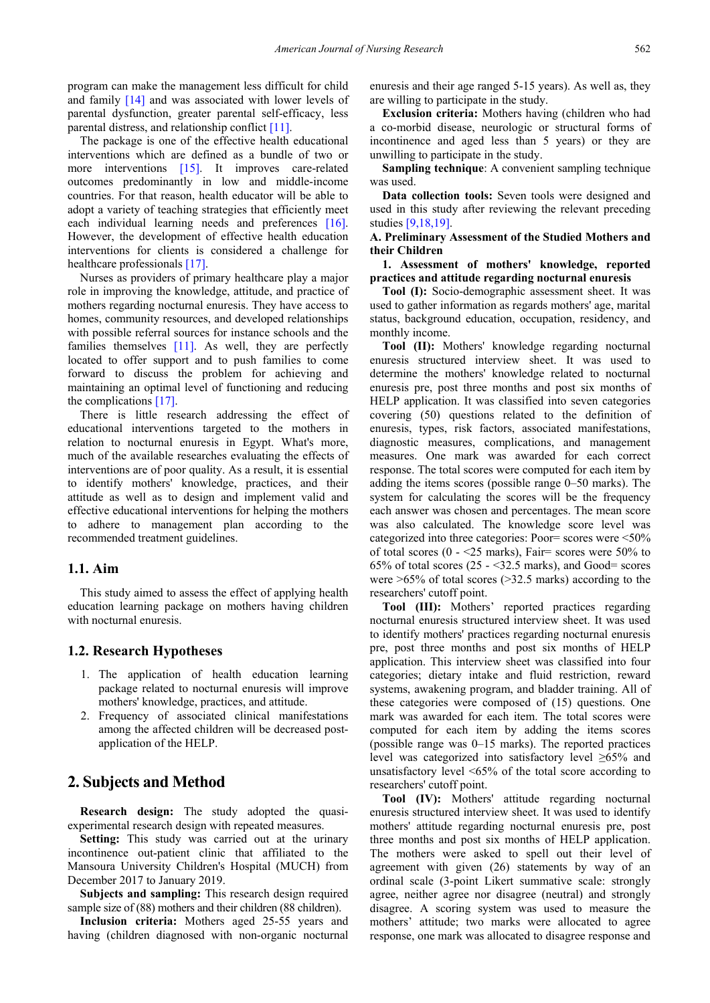program can make the management less difficult for child and family [\[14\]](#page-11-2) and was associated with lower levels of parental dysfunction, greater parental self-efficacy, less parental distress, and relationship conflict [\[11\].](#page-11-0)

The package is one of the effective health educational interventions which are defined as a bundle of two or more interventions [\[15\].](#page-11-3) It improves care-related outcomes predominantly in low and middle-income countries. For that reason, health educator will be able to adopt a variety of teaching strategies that efficiently meet each individual learning needs and preferences [\[16\].](#page-11-4) However, the development of effective health education interventions for clients is considered a challenge for healthcare professional[s \[17\].](#page-11-5)

Nurses as providers of primary healthcare play a major role in improving the knowledge, attitude, and practice of mothers regarding nocturnal enuresis. They have access to homes, community resources, and developed relationships with possible referral sources for instance schools and the families themselves  $[11]$ . As well, they are perfectly located to offer support and to push families to come forward to discuss the problem for achieving and maintaining an optimal level of functioning and reducing the complications [\[17\].](#page-11-5)

There is little research addressing the effect of educational interventions targeted to the mothers in relation to nocturnal enuresis in Egypt. What's more, much of the available researches evaluating the effects of interventions are of poor quality. As a result, it is essential to identify mothers' knowledge, practices, and their attitude as well as to design and implement valid and effective educational interventions for helping the mothers to adhere to management plan according to the recommended treatment guidelines.

## **1.1. Aim**

This study aimed to assess the effect of applying health education learning package on mothers having children with nocturnal enuresis.

## **1.2. Research Hypotheses**

- 1. The application of health education learning package related to nocturnal enuresis will improve mothers' knowledge, practices, and attitude.
- 2. Frequency of associated clinical manifestations among the affected children will be decreased postapplication of the HELP.

# **2. Subjects and Method**

**Research design:** The study adopted the quasiexperimental research design with repeated measures.

**Setting:** This study was carried out at the urinary incontinence out-patient clinic that affiliated to the Mansoura University Children's Hospital (MUCH) from December 2017 to January 2019.

**Subjects and sampling:** This research design required sample size of (88) mothers and their children (88 children).

**Inclusion criteria:** Mothers aged 25-55 years and having (children diagnosed with non-organic nocturnal enuresis and their age ranged 5-15 years). As well as, they are willing to participate in the study.

**Exclusion criteria:** Mothers having (children who had a co-morbid disease, neurologic or structural forms of incontinence and aged less than 5 years) or they are unwilling to participate in the study.

**Sampling technique**: A convenient sampling technique was used.

**Data collection tools:** Seven tools were designed and used in this study after reviewing the relevant preceding studie[s \[9,18,19\].](#page-3-6)

## **A. Preliminary Assessment of the Studied Mothers and their Children**

## **1. Assessment of mothers' knowledge, reported practices and attitude regarding nocturnal enuresis**

**Tool (I):** Socio-demographic assessment sheet. It was used to gather information as regards mothers' age, marital status, background education, occupation, residency, and monthly income.

**Tool (II):** Mothers' knowledge regarding nocturnal enuresis structured interview sheet. It was used to determine the mothers' knowledge related to nocturnal enuresis pre, post three months and post six months of HELP application. It was classified into seven categories covering (50) questions related to the definition of enuresis, types, risk factors, associated manifestations, diagnostic measures, complications, and management measures. One mark was awarded for each correct response. The total scores were computed for each item by adding the items scores (possible range 0–50 marks). The system for calculating the scores will be the frequency each answer was chosen and percentages. The mean score was also calculated. The knowledge score level was categorized into three categories: Poor= scores were <50% of total scores (0 -  $\leq$  25 marks), Fair= scores were 50% to 65% of total scores  $(25 - 32.5 \text{ marks})$ , and Good= scores were >65% of total scores (>32.5 marks) according to the researchers' cutoff point.

**Tool (III):** Mothers' reported practices regarding nocturnal enuresis structured interview sheet. It was used to identify mothers' practices regarding nocturnal enuresis pre, post three months and post six months of HELP application. This interview sheet was classified into four categories; dietary intake and fluid restriction, reward systems, awakening program, and bladder training. All of these categories were composed of (15) questions. One mark was awarded for each item. The total scores were computed for each item by adding the items scores (possible range was 0–15 marks). The reported practices level was categorized into satisfactory level ≥65% and unsatisfactory level <65% of the total score according to researchers' cutoff point.

**Tool (IV):** Mothers' attitude regarding nocturnal enuresis structured interview sheet. It was used to identify mothers' attitude regarding nocturnal enuresis pre, post three months and post six months of HELP application. The mothers were asked to spell out their level of agreement with given (26) statements by way of an ordinal scale (3-point Likert summative scale: strongly agree, neither agree nor disagree (neutral) and strongly disagree. A scoring system was used to measure the mothers' attitude; two marks were allocated to agree response, one mark was allocated to disagree response and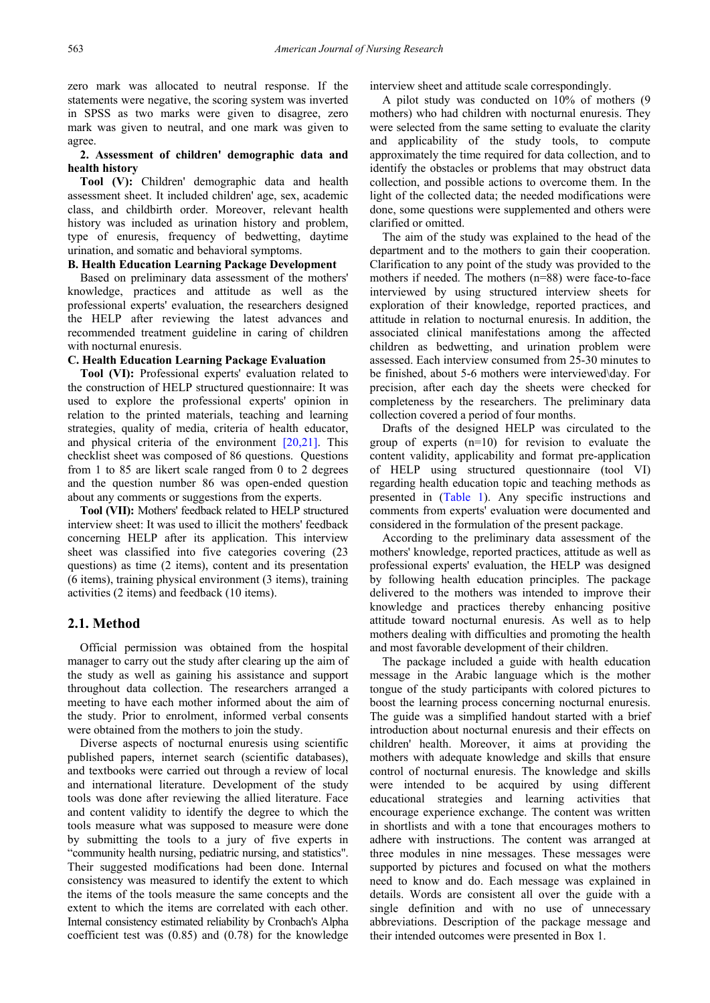zero mark was allocated to neutral response. If the statements were negative, the scoring system was inverted in SPSS as two marks were given to disagree, zero mark was given to neutral, and one mark was given to agree.

## **2. Assessment of children' demographic data and health history**

**Tool (V):** Children' demographic data and health assessment sheet. It included children' age, sex, academic class, and childbirth order. Moreover, relevant health history was included as urination history and problem, type of enuresis, frequency of bedwetting, daytime urination, and somatic and behavioral symptoms.

#### **B. Health Education Learning Package Development**

Based on preliminary data assessment of the mothers' knowledge, practices and attitude as well as the professional experts' evaluation, the researchers designed the HELP after reviewing the latest advances and recommended treatment guideline in caring of children with nocturnal enuresis.

## **C. Health Education Learning Package Evaluation**

**Tool (VI):** Professional experts' evaluation related to the construction of HELP structured questionnaire: It was used to explore the professional experts' opinion in relation to the printed materials, teaching and learning strategies, quality of media, criteria of health educator, and physical criteria of the environment  $[20,21]$ . This checklist sheet was composed of 86 questions. Questions from 1 to 85 are likert scale ranged from 0 to 2 degrees and the question number 86 was open-ended question about any comments or suggestions from the experts.

**Tool (VII):** Mothers' feedback related to HELP structured interview sheet: It was used to illicit the mothers' feedback concerning HELP after its application. This interview sheet was classified into five categories covering (23 questions) as time (2 items), content and its presentation (6 items), training physical environment (3 items), training activities (2 items) and feedback (10 items).

## **2.1. Method**

Official permission was obtained from the hospital manager to carry out the study after clearing up the aim of the study as well as gaining his assistance and support throughout data collection. The researchers arranged a meeting to have each mother informed about the aim of the study. Prior to enrolment, informed verbal consents were obtained from the mothers to join the study.

Diverse aspects of nocturnal enuresis using scientific published papers, internet search (scientific databases), and textbooks were carried out through a review of local and international literature. Development of the study tools was done after reviewing the allied literature. Face and content validity to identify the degree to which the tools measure what was supposed to measure were done by submitting the tools to a jury of five experts in "community health nursing, pediatric nursing, and statistics". Their suggested modifications had been done. Internal consistency was measured to identify the extent to which the items of the tools measure the same concepts and the extent to which the items are correlated with each other. Internal consistency estimated reliability by Cronbach's Alpha coefficient test was (0.85) and (0.78) for the knowledge

interview sheet and attitude scale correspondingly.

A pilot study was conducted on 10% of mothers (9 mothers) who had children with nocturnal enuresis. They were selected from the same setting to evaluate the clarity and applicability of the study tools, to compute approximately the time required for data collection, and to identify the obstacles or problems that may obstruct data collection, and possible actions to overcome them. In the light of the collected data; the needed modifications were done, some questions were supplemented and others were clarified or omitted.

The aim of the study was explained to the head of the department and to the mothers to gain their cooperation. Clarification to any point of the study was provided to the mothers if needed. The mothers (n=88) were face-to-face interviewed by using structured interview sheets for exploration of their knowledge, reported practices, and attitude in relation to nocturnal enuresis. In addition, the associated clinical manifestations among the affected children as bedwetting, and urination problem were assessed. Each interview consumed from 25-30 minutes to be finished, about 5-6 mothers were interviewed\day. For precision, after each day the sheets were checked for completeness by the researchers. The preliminary data collection covered a period of four months.

Drafts of the designed HELP was circulated to the group of experts (n=10) for revision to evaluate the content validity, applicability and format pre-application of HELP using structured questionnaire (tool VI) regarding health education topic and teaching methods as presented in [\(Table 1\)](#page-3-7). Any specific instructions and comments from experts' evaluation were documented and considered in the formulation of the present package.

According to the preliminary data assessment of the mothers' knowledge, reported practices, attitude as well as professional experts' evaluation, the HELP was designed by following health education principles. The package delivered to the mothers was intended to improve their knowledge and practices thereby enhancing positive attitude toward nocturnal enuresis. As well as to help mothers dealing with difficulties and promoting the health and most favorable development of their children.

The package included a guide with health education message in the Arabic language which is the mother tongue of the study participants with colored pictures to boost the learning process concerning nocturnal enuresis. The guide was a simplified handout started with a brief introduction about nocturnal enuresis and their effects on children' health. Moreover, it aims at providing the mothers with adequate knowledge and skills that ensure control of nocturnal enuresis. The knowledge and skills were intended to be acquired by using different educational strategies and learning activities that encourage experience exchange. The content was written in shortlists and with a tone that encourages mothers to adhere with instructions. The content was arranged at three modules in nine messages. These messages were supported by pictures and focused on what the mothers need to know and do. Each message was explained in details. Words are consistent all over the guide with a single definition and with no use of unnecessary abbreviations. Description of the package message and their intended outcomes were presented in Box 1.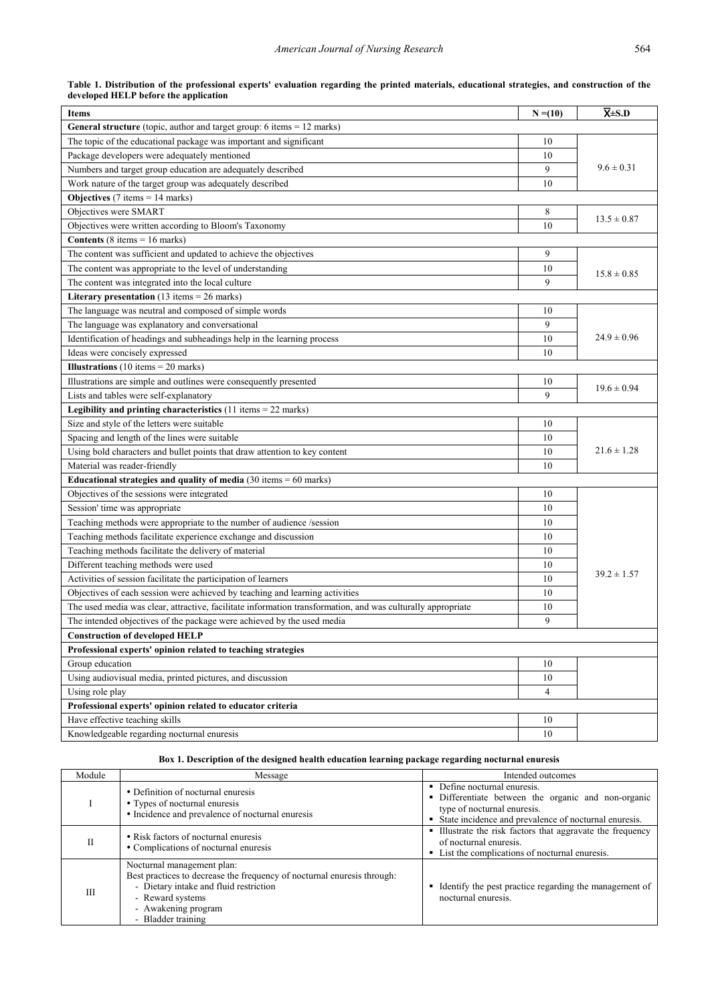<span id="page-3-7"></span>

| <b>Items</b>                                                                                                | $N = (10)$     | $\overline{\mathbf{X}}$ ±S.D |
|-------------------------------------------------------------------------------------------------------------|----------------|------------------------------|
| <b>General structure</b> (topic, author and target group: $6$ items $= 12$ marks)                           |                |                              |
| The topic of the educational package was important and significant                                          | 10             |                              |
| Package developers were adequately mentioned                                                                | 10             |                              |
| Numbers and target group education are adequately described                                                 | 9              | $9.6 \pm 0.31$               |
| Work nature of the target group was adequately described                                                    | 10             |                              |
| <b>Objectives</b> (7 items = $14$ marks)                                                                    |                |                              |
| Objectives were SMART                                                                                       | 8              |                              |
| Objectives were written according to Bloom's Taxonomy                                                       | 10             | $13.5 \pm 0.87$              |
| <b>Contents</b> (8 items = $16$ marks)                                                                      |                |                              |
| The content was sufficient and updated to achieve the objectives                                            | 9              |                              |
| The content was appropriate to the level of understanding                                                   | 10             | $15.8 \pm 0.85$              |
| The content was integrated into the local culture                                                           | 9              |                              |
| Literary presentation $(13 \text{ items} = 26 \text{ marks})$                                               |                |                              |
| The language was neutral and composed of simple words                                                       | 10             |                              |
| The language was explanatory and conversational                                                             | 9              |                              |
| Identification of headings and subheadings help in the learning process                                     | 10             | $24.9 \pm 0.96$              |
| Ideas were concisely expressed                                                                              | 10             |                              |
| <b>Illustrations</b> (10 items = 20 marks)                                                                  |                |                              |
| Illustrations are simple and outlines were consequently presented                                           | 10             |                              |
| Lists and tables were self-explanatory                                                                      | 9              | $19.6 \pm 0.94$              |
| <b>Legibility and printing characteristics</b> $(11$ items = 22 marks)                                      |                |                              |
| Size and style of the letters were suitable                                                                 | 10             |                              |
| Spacing and length of the lines were suitable                                                               | 10             |                              |
| Using bold characters and bullet points that draw attention to key content                                  | 10             | $21.6 \pm 1.28$              |
| Material was reader-friendly                                                                                | 10             |                              |
| Educational strategies and quality of media $(30 \text{ items} = 60 \text{ marks})$                         |                |                              |
| Objectives of the sessions were integrated                                                                  | 10             |                              |
| Session' time was appropriate                                                                               | 10             |                              |
| Teaching methods were appropriate to the number of audience /session                                        | 10             |                              |
| Teaching methods facilitate experience exchange and discussion                                              | 10             |                              |
| Teaching methods facilitate the delivery of material                                                        | 10             |                              |
| Different teaching methods were used                                                                        | 10             |                              |
| Activities of session facilitate the participation of learners                                              | 10             | $39.2 \pm 1.57$              |
| Objectives of each session were achieved by teaching and learning activities                                | 10             |                              |
| The used media was clear, attractive, facilitate information transformation, and was culturally appropriate | 10             |                              |
| The intended objectives of the package were achieved by the used media                                      | 9              |                              |
| <b>Construction of developed HELP</b>                                                                       |                |                              |
| Professional experts' opinion related to teaching strategies                                                |                |                              |
| Group education                                                                                             | 10             |                              |
| Using audiovisual media, printed pictures, and discussion                                                   | 10             |                              |
| Using role play                                                                                             | $\overline{4}$ |                              |
| Professional experts' opinion related to educator criteria                                                  |                |                              |
| Have effective teaching skills                                                                              | 10             |                              |
| Knowledgeable regarding nocturnal enuresis                                                                  | 10             |                              |

| Table 1. Distribution of the professional experts' evaluation regarding the printed materials, educational strategies, and construction of the |  |  |  |  |  |
|------------------------------------------------------------------------------------------------------------------------------------------------|--|--|--|--|--|
| developed HELP before the application                                                                                                          |  |  |  |  |  |

## <span id="page-3-9"></span><span id="page-3-0"></span>**Box 1. Description of the designed health education learning package regarding nocturnal enuresis**

<span id="page-3-8"></span><span id="page-3-6"></span><span id="page-3-5"></span><span id="page-3-4"></span><span id="page-3-3"></span><span id="page-3-2"></span><span id="page-3-1"></span>

| Module | Message                                                                                                                                                                                                          | Intended outcomes                                                                                                                                                             |
|--------|------------------------------------------------------------------------------------------------------------------------------------------------------------------------------------------------------------------|-------------------------------------------------------------------------------------------------------------------------------------------------------------------------------|
|        | • Definition of nocturnal enuresis<br>• Types of nocturnal enuresis<br>• Incidence and prevalence of nocturnal enuresis                                                                                          | • Define nocturnal enuresis.<br>• Differentiate between the organic and non-organic<br>type of nocturnal enuresis.<br>• State incidence and prevalence of nocturnal enuresis. |
|        | • Risk factors of nocturnal enuresis<br>• Complications of nocturnal enuresis                                                                                                                                    | • Illustrate the risk factors that aggravate the frequency<br>of nocturnal enuresis.<br>• List the complications of nocturnal enuresis.                                       |
| Ш      | Nocturnal management plan:<br>Best practices to decrease the frequency of nocturnal enuresis through:<br>- Dietary intake and fluid restriction<br>- Reward systems<br>- Awakening program<br>- Bladder training | Identify the pest practice regarding the management of<br>nocturnal enuresis.                                                                                                 |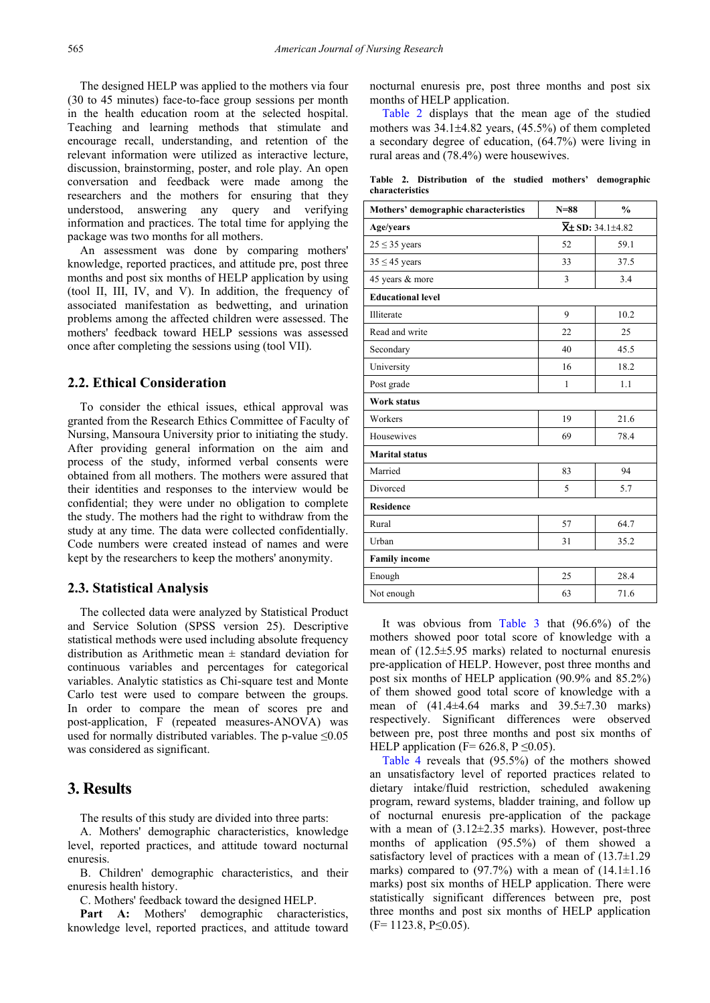The designed HELP was applied to the mothers via four (30 to 45 minutes) face-to-face group sessions per month in the health education room at the selected hospital. Teaching and learning methods that stimulate and encourage recall, understanding, and retention of the relevant information were utilized as interactive lecture, discussion, brainstorming, poster, and role play. An open conversation and feedback were made among the researchers and the mothers for ensuring that they understood, answering any query and verifying information and practices. The total time for applying the package was two months for all mothers.

An assessment was done by comparing mothers' knowledge, reported practices, and attitude pre, post three months and post six months of HELP application by using (tool II, III, IV, and V). In addition, the frequency of associated manifestation as bedwetting, and urination problems among the affected children were assessed. The mothers' feedback toward HELP sessions was assessed once after completing the sessions using (tool VII).

## **2.2. Ethical Consideration**

To consider the ethical issues, ethical approval was granted from the Research Ethics Committee of Faculty of Nursing, Mansoura University prior to initiating the study. After providing general information on the aim and process of the study, informed verbal consents were obtained from all mothers. The mothers were assured that their identities and responses to the interview would be confidential; they were under no obligation to complete the study. The mothers had the right to withdraw from the study at any time. The data were collected confidentially. Code numbers were created instead of names and were kept by the researchers to keep the mothers' anonymity.

## **2.3. Statistical Analysis**

The collected data were analyzed by Statistical Product and Service Solution (SPSS version 25). Descriptive statistical methods were used including absolute frequency distribution as Arithmetic mean  $\pm$  standard deviation for continuous variables and percentages for categorical variables. Analytic statistics as Chi-square test and Monte Carlo test were used to compare between the groups. In order to compare the mean of scores pre and post-application, F (repeated measures-ANOVA) was used for normally distributed variables. The p-value  $\leq 0.05$ was considered as significant.

# **3. Results**

The results of this study are divided into three parts:

A. Mothers' demographic characteristics, knowledge level, reported practices, and attitude toward nocturnal enuresis.

B. Children' demographic characteristics, and their enuresis health history.

C. Mothers' feedback toward the designed HELP.

Part A: Mothers' demographic characteristics, knowledge level, reported practices, and attitude toward nocturnal enuresis pre, post three months and post six months of HELP application.

[Table 2](#page-3-8) displays that the mean age of the studied mothers was 34.1±4.82 years, (45.5%) of them completed a secondary degree of education, (64.7%) were living in rural areas and (78.4%) were housewives.

**Table 2. Distribution of the studied mothers' demographic characteristics**

<span id="page-4-0"></span>

| Mothers' demographic characteristics | $N = 88$ | $\frac{0}{0}$                           |
|--------------------------------------|----------|-----------------------------------------|
| Age/years                            |          | $\overline{\mathsf{X}}$ ± SD: 34.1±4.82 |
| $25 \leq 35$ years                   | 52       | 59.1                                    |
| $35 \leq 45$ years                   | 33       | 37.5                                    |
| 45 years & more                      | 3        | 3.4                                     |
| <b>Educational level</b>             |          |                                         |
| Illiterate                           | 9        | 10.2                                    |
| Read and write                       | 22       | 25                                      |
| Secondary                            | 40       | 45.5                                    |
| University                           | 16       | 18.2                                    |
| Post grade                           | 1        | 1.1                                     |
| <b>Work status</b>                   |          |                                         |
| Workers                              | 19       | 21.6                                    |
| Housewives                           | 69       | 78.4                                    |
| <b>Marital</b> status                |          |                                         |
| Married                              | 83       | 94                                      |
| Divorced                             | 5        | 5.7                                     |
| <b>Residence</b>                     |          |                                         |
| Rural                                | 57       | 64.7                                    |
| Urban                                | 31       | 35.2                                    |
| <b>Family income</b>                 |          |                                         |
| Enough                               | 25       | 28.4                                    |
| Not enough                           | 63       | 71.6                                    |

It was obvious from [Table 3](#page-4-0) that (96.6%) of the mothers showed poor total score of knowledge with a mean of (12.5±5.95 marks) related to nocturnal enuresis pre-application of HELP. However, post three months and post six months of HELP application (90.9% and 85.2%) of them showed good total score of knowledge with a mean of  $(41.4\pm4.64$  marks and  $39.5\pm7.30$  marks) respectively. Significant differences were observed between pre, post three months and post six months of HELP application (F=  $626.8$ , P  $\leq 0.05$ ).

[Table 4](#page-5-0) reveals that (95.5%) of the mothers showed an unsatisfactory level of reported practices related to dietary intake/fluid restriction, scheduled awakening program, reward systems, bladder training, and follow up of nocturnal enuresis pre-application of the package with a mean of  $(3.12\pm2.35 \text{ marks})$ . However, post-three months of application (95.5%) of them showed a satisfactory level of practices with a mean of (13.7±1.29 marks) compared to  $(97.7%)$  with a mean of  $(14.1\pm1.16)$ marks) post six months of HELP application. There were statistically significant differences between pre, post three months and post six months of HELP application  $(F= 1123.8, P\leq 0.05)$ .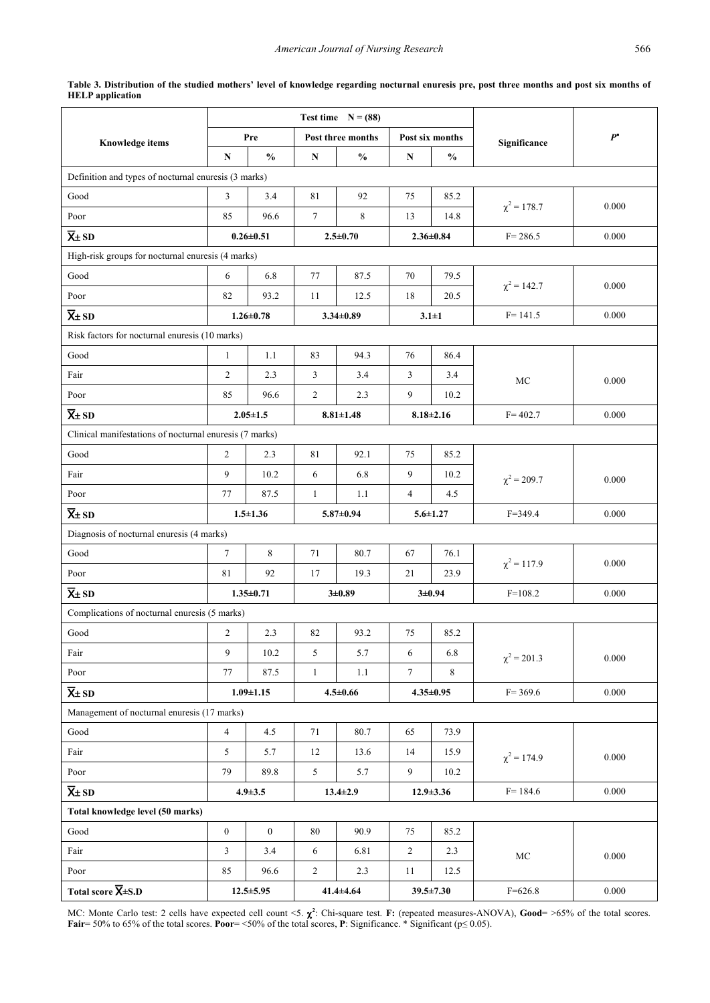<span id="page-5-0"></span>**Table 3. Distribution of the studied mothers' level of knowledge regarding nocturnal enuresis pre, post three months and post six months of HELP application**

|                                                         |                |                 |                | Test time $N = (88)$ |                 |                 |                  |       |  |
|---------------------------------------------------------|----------------|-----------------|----------------|----------------------|-----------------|-----------------|------------------|-------|--|
| <b>Knowledge items</b>                                  |                | Pre             |                | Post three months    |                 | Post six months | Significance     | $P^*$ |  |
|                                                         | N              | $\frac{0}{0}$   | ${\bf N}$      | $\frac{0}{0}$        | N               | $\frac{0}{0}$   |                  |       |  |
| Definition and types of nocturnal enuresis (3 marks)    |                |                 |                |                      |                 |                 |                  |       |  |
| Good                                                    | 3              | 3.4             | 81             | 92                   | 75              | 85.2            | $\chi^2$ = 178.7 | 0.000 |  |
| Poor                                                    | 85             | 96.6            | $\tau$         | 8                    | 13              | 14.8            |                  |       |  |
| $\overline{X}$ ± SD                                     |                | $0.26 \pm 0.51$ |                | $2.5 + 0.70$         | $2.36 \pm 0.84$ |                 | $F = 286.5$      | 0.000 |  |
| High-risk groups for nocturnal enuresis (4 marks)       |                |                 |                |                      |                 |                 |                  |       |  |
| Good                                                    | 6              | 6.8             | 77             | 87.5                 | 70              | 79.5            | $\chi^2$ = 142.7 | 0.000 |  |
| Poor                                                    | 82             | 93.2            | 11             | 12.5                 | 18              | 20.5            |                  |       |  |
| $\overline{X}$ ± SD                                     |                | $1.26 \pm 0.78$ |                | $3.34 \pm 0.89$      | $3.1 \pm 1$     |                 | $F = 141.5$      | 0.000 |  |
| Risk factors for nocturnal enuresis (10 marks)          |                |                 |                |                      |                 |                 |                  |       |  |
| Good                                                    | $\mathbf{1}$   | 1.1             | 83             | 94.3                 | 76              | 86.4            |                  |       |  |
| Fair                                                    | $\overline{2}$ | 2.3             | 3              | 3.4                  | 3               | 3.4             | MC               | 0.000 |  |
| Poor                                                    | 85             | 96.6            | 2              | 2.3                  | 9               | 10.2            |                  |       |  |
| $\overline{X}$ + SD                                     |                | $2.05 \pm 1.5$  |                | $8.81 \pm 1.48$      |                 | $8.18 \pm 2.16$ | $F = 402.7$      | 0.000 |  |
| Clinical manifestations of nocturnal enuresis (7 marks) |                |                 |                |                      |                 |                 |                  |       |  |
| Good                                                    | $\overline{2}$ | 2.3             | 81             | 92.1                 | 75              | 85.2            |                  |       |  |
| Fair                                                    | 9              | 10.2            | 6              | 6.8                  | 9               | 10.2            | $\chi^2$ = 209.7 | 0.000 |  |
| Poor                                                    | 77             | 87.5            | 1              | 1.1                  | $\overline{4}$  | 4.5             |                  |       |  |
| $\overline{X}$ ± SD                                     |                | $1.5 \pm 1.36$  |                | $5.87 \pm 0.94$      |                 | $5.6 \pm 1.27$  | $F = 349.4$      | 0.000 |  |
| Diagnosis of nocturnal enuresis (4 marks)               |                |                 |                |                      |                 |                 |                  |       |  |
| Good                                                    | $\tau$         | 8               | 71             | 80.7                 | 67              | 76.1            | $\chi^2$ = 117.9 | 0.000 |  |
| Poor                                                    | 81             | 92              | 17             | 19.3                 | 21              | 23.9            |                  |       |  |
| $\overline{X}$ ± SD                                     |                | $1.35 \pm 0.71$ |                | $3 + 0.89$           | $3 \pm 0.94$    |                 | $F=108.2$        | 0.000 |  |
| Complications of nocturnal enuresis (5 marks)           |                |                 |                |                      |                 |                 |                  |       |  |
| Good                                                    | $\overline{2}$ | 2.3             | 82             | 93.2                 | 75              | 85.2            |                  |       |  |
| Fair                                                    | 9              | 10.2            | 5              | 5.7                  | 6               | 6.8             | $\chi^2$ = 201.3 | 0.000 |  |
| Poor                                                    | 77             | 87.5            | $\mathbf{1}$   | 1.1                  | $7\overline{ }$ | 8               |                  |       |  |
| $\overline{X}$ ± SD                                     |                | $1.09 \pm 1.15$ |                | $4.5 \pm 0.66$       |                 | $4.35 \pm 0.95$ | $F = 369.6$      | 0.000 |  |
| Management of nocturnal enuresis (17 marks)             |                |                 |                |                      |                 |                 |                  |       |  |
| Good                                                    | $\overline{4}$ | 4.5             | 71             | 80.7                 | 65              | 73.9            |                  |       |  |
| Fair                                                    | 5              | 5.7             | 12             | 13.6                 | 14              | 15.9            | $\chi^2$ = 174.9 | 0.000 |  |
| Poor                                                    | 79             | 89.8            | 5 <sup>1</sup> | 5.7                  | 9               | 10.2            |                  |       |  |
| $\overline{X}$ ± SD                                     |                | $4.9 \pm 3.5$   |                | $13.4 \pm 2.9$       |                 | $12.9 \pm 3.36$ | $F = 184.6$      | 0.000 |  |
| Total knowledge level (50 marks)                        |                |                 |                |                      |                 |                 |                  |       |  |
| Good                                                    | $\mathbf{0}$   | $\mathbf{0}$    | 80             | 90.9                 | 75              | 85.2            |                  |       |  |
| Fair                                                    | 3              | 3.4             | 6              | 6.81                 | $\overline{2}$  | 2.3             | $\rm MC$         | 0.000 |  |
| Poor                                                    | 85             | 96.6            | $\overline{2}$ | 2.3                  | 11              | 12.5            |                  |       |  |
| Total score $\overline{X}$ ±S.D                         |                | $12.5 \pm 5.95$ |                | $41.4 \pm 4.64$      |                 | $39.5 \pm 7.30$ | $F = 626.8$      | 0.000 |  |

MC: Monte Carlo test: 2 cells have expected cell count <5. χ**<sup>2</sup>** : Chi-square test. **F:** (repeated measures-ANOVA), **Good**= >65% of the total scores. **Fair**= 50% to 65% of the total scores. **Poor**= <50% of the total scores, **P**: Significance. \* Significant (p≤ 0.05).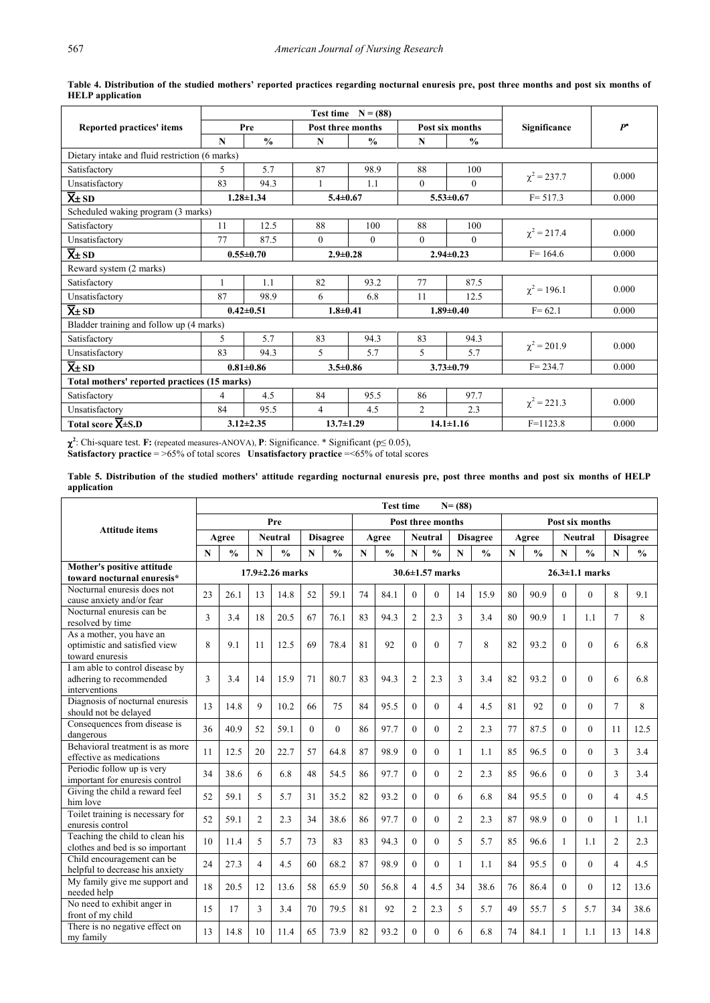|                                                |    |                 | <b>Test time</b>  |               |                |                 |                  |       |
|------------------------------------------------|----|-----------------|-------------------|---------------|----------------|-----------------|------------------|-------|
| Reported practices' items                      |    | Pre             | Post three months |               |                | Post six months | Significance     | $P^*$ |
|                                                | N  | $\frac{0}{0}$   | N                 | $\frac{0}{0}$ | N              | $\frac{0}{0}$   |                  |       |
| Dietary intake and fluid restriction (6 marks) |    |                 |                   |               |                |                 |                  |       |
| Satisfactory                                   | 5  | 5.7             | 87                | 98.9          | 88             | 100             | $\chi^2$ = 237.7 | 0.000 |
| Unsatisfactory                                 | 83 | 94.3            | 1                 | 1.1           | $\Omega$       | $\theta$        |                  |       |
| $\overline{X}$ + SD                            |    | $1.28 \pm 1.34$ | $5.4 \pm 0.67$    |               |                | $5.53 \pm 0.67$ | $F = 517.3$      | 0.000 |
| Scheduled waking program (3 marks)             |    |                 |                   |               |                |                 |                  |       |
| Satisfactory                                   | 11 | 12.5            | 88                | 100           | 88             | 100             |                  | 0.000 |
| Unsatisfactory                                 | 77 | 87.5            | $\mathbf{0}$      | $\theta$      | $\Omega$       | $\theta$        | $\chi^2$ = 217.4 |       |
| $\overline{X}$ + SD                            |    | $0.55 + 0.70$   | $2.9 \pm 0.28$    |               |                | $2.94 \pm 0.23$ | $F = 164.6$      | 0.000 |
| Reward system (2 marks)                        |    |                 |                   |               |                |                 |                  |       |
| Satisfactory                                   |    | 1.1             | 82                | 93.2          | 77             | 87.5            | $\chi^2$ = 196.1 | 0.000 |
| Unsatisfactory                                 | 87 | 98.9            | 6                 | 6.8           | 11             | 12.5            |                  |       |
| $\overline{X}$ ± SD                            |    | $0.42 \pm 0.51$ | $1.8 + 0.41$      |               |                | $1.89 \pm 0.40$ | $F = 62.1$       | 0.000 |
| Bladder training and follow up (4 marks)       |    |                 |                   |               |                |                 |                  |       |
| Satisfactory                                   | 5  | 5.7             | 83                | 94.3          | 83             | 94.3            | $\chi^2$ = 201.9 | 0.000 |
| Unsatisfactory                                 | 83 | 94.3            | 5                 | 5.7           | 5.             | 5.7             |                  |       |
| $\overline{X}$ + SD                            |    | $0.81 + 0.86$   | $3.5 \pm 0.86$    |               |                | $3.73 \pm 0.79$ | $F = 234.7$      | 0.000 |
| Total mothers' reported practices (15 marks)   |    |                 |                   |               |                |                 |                  |       |
| Satisfactory                                   | 4  | 4.5             | 84                | 95.5          | 86             | 97.7            | $\chi^2$ = 221.3 | 0.000 |
| Unsatisfactory                                 | 84 | 95.5            | $\overline{4}$    | 4.5           | $\overline{2}$ | 2.3             |                  |       |
| Total score $\overline{X}$ ±S.D                |    | $3.12 \pm 2.35$ | $13.7 \pm 1.29$   |               |                | $14.1 \pm 1.16$ | $F=1123.8$       | 0.000 |

<span id="page-6-0"></span>**Table 4. Distribution of the studied mothers' reported practices regarding nocturnal enuresis pre, post three months and post six months of HELP application**

χ**2** : Chi-square test. **F:** (repeated measures-ANOVA), **P**: Significance. \* Significant (p≤ 0.05), **Satisfactory practice** = >65% of total scores **Unsatisfactory practice** =<65% of total scores

**Table 5. Distribution of the studied mothers' attitude regarding nocturnal enuresis pre, post three months and post six months of HELP application**

<span id="page-6-1"></span>

|                                                                              |                       |               |                         |                |          |                       |                   | <b>Test time</b> |                |                | $N = (88)$     |                      |    |                 |             |                |                |                 |  |
|------------------------------------------------------------------------------|-----------------------|---------------|-------------------------|----------------|----------|-----------------------|-------------------|------------------|----------------|----------------|----------------|----------------------|----|-----------------|-------------|----------------|----------------|-----------------|--|
|                                                                              |                       |               |                         | Pre            |          |                       | Post three months |                  |                |                |                |                      |    | Post six months |             |                |                |                 |  |
| Attitude items                                                               |                       | Agree         |                         | <b>Neutral</b> |          | <b>Disagree</b>       |                   | Agree            |                | <b>Neutral</b> |                | <b>Disagree</b>      |    | Agree           |             | <b>Neutral</b> |                | <b>Disagree</b> |  |
|                                                                              | $\mathbf N$           | $\frac{0}{0}$ | $\mathbf N$             | $\frac{0}{0}$  | N        | $\frac{0}{0}$         | $\mathbf N$       | $\frac{0}{0}$    | N              | $\frac{0}{0}$  | N              | $\frac{0}{0}$        | N  | $\frac{0}{0}$   | N           | $\frac{0}{0}$  | N              | $\frac{0}{0}$   |  |
| Mother's positive attitude<br>toward nocturnal enuresis*                     | $17.9 \pm 2.26$ marks |               |                         |                |          | $30.6 \pm 1.57$ marks |                   |                  |                |                |                | $26.3 \pm 1.1$ marks |    |                 |             |                |                |                 |  |
| Nocturnal enuresis does not<br>cause anxiety and/or fear                     | 23                    | 26.1          | 13                      | 14.8           | 52       | 59.1                  | 74                | 84.1             | $\Omega$       | $\theta$       | 14             | 15.9                 | 80 | 90.9            | $\Omega$    | $\theta$       | 8              | 9.1             |  |
| Nocturnal enuresis can be<br>resolved by time                                | 3                     | 3.4           | 18                      | 20.5           | 67       | 76.1                  | 83                | 94.3             | $\overline{2}$ | 2.3            | 3              | 3.4                  | 80 | 90.9            | 1           | 1.1            | 7              | 8               |  |
| As a mother, you have an<br>optimistic and satisfied view<br>toward enuresis | 8                     | 9.1           | 11                      | 12.5           | 69       | 78.4                  | 81                | 92               | $\theta$       | $\theta$       | $\overline{7}$ | 8                    | 82 | 93.2            | $\Omega$    | $\theta$       | 6              | 6.8             |  |
| I am able to control disease by<br>adhering to recommended<br>interventions  | 3                     | 3.4           | 14                      | 15.9           | 71       | 80.7                  | 83                | 94.3             | $\overline{2}$ | 2.3            | 3              | 3.4                  | 82 | 93.2            | $\Omega$    | $\theta$       | 6              | 6.8             |  |
| Diagnosis of nocturnal enuresis<br>should not be delayed                     | 13                    | 14.8          | 9                       | 10.2           | 66       | 75                    | 84                | 95.5             | $\Omega$       | $\Omega$       | $\overline{4}$ | 4.5                  | 81 | 92              | $\Omega$    | $\theta$       | 7              | 8               |  |
| Consequences from disease is<br>dangerous                                    | 36                    | 40.9          | 52                      | 59.1           | $\Omega$ | $\theta$              | 86                | 97.7             | $\Omega$       | $\Omega$       | $\overline{2}$ | 2.3                  | 77 | 87.5            | $\Omega$    | $\Omega$       | 11             | 12.5            |  |
| Behavioral treatment is as more<br>effective as medications                  | 11                    | 12.5          | 20                      | 22.7           | 57       | 64.8                  | 87                | 98.9             | $\theta$       | $\theta$       | $\mathbf{1}$   | 1.1                  | 85 | 96.5            | $\Omega$    | $\theta$       | 3              | 3.4             |  |
| Periodic follow up is very<br>important for enuresis control                 | 34                    | 38.6          | 6                       | 6.8            | 48       | 54.5                  | 86                | 97.7             | $\Omega$       | $\Omega$       | $\overline{2}$ | 2.3                  | 85 | 96.6            | $\Omega$    | $\Omega$       | 3              | 3.4             |  |
| Giving the child a reward feel<br>him love                                   | 52                    | 59.1          | 5                       | 5.7            | 31       | 35.2                  | 82                | 93.2             | $\theta$       | $\Omega$       | 6              | 6.8                  | 84 | 95.5            | $\Omega$    | $\overline{0}$ | $\overline{4}$ | 4.5             |  |
| Toilet training is necessary for<br>enuresis control                         | 52                    | 59.1          | $\overline{2}$          | 2.3            | 34       | 38.6                  | 86                | 97.7             | $\Omega$       | $\Omega$       | $\overline{2}$ | 2.3                  | 87 | 98.9            | $\Omega$    | $\theta$       | 1              | 1.1             |  |
| Teaching the child to clean his<br>clothes and bed is so important           | 10                    | 11.4          | 5                       | 5.7            | 73       | 83                    | 83                | 94.3             | $\theta$       | $\Omega$       | 5              | 5.7                  | 85 | 96.6            | 1           | 1.1            | $\overline{2}$ | 2.3             |  |
| Child encouragement can be<br>helpful to decrease his anxiety                | 24                    | 27.3          | $\overline{\mathbf{4}}$ | 4.5            | 60       | 68.2                  | 87                | 98.9             | $\Omega$       | $\Omega$       | $\mathbf{1}$   | 1.1                  | 84 | 95.5            | $\Omega$    | $\Omega$       | 4              | 4.5             |  |
| My family give me support and<br>needed help                                 | 18                    | 20.5          | 12                      | 13.6           | 58       | 65.9                  | 50                | 56.8             | $\overline{4}$ | 4.5            | 34             | 38.6                 | 76 | 86.4            | $\Omega$    | $\theta$       | 12             | 13.6            |  |
| No need to exhibit anger in<br>front of my child                             | 15                    | 17            | 3                       | 3.4            | 70       | 79.5                  | 81                | 92               | $\overline{2}$ | 2.3            | 5              | 5.7                  | 49 | 55.7            | $\varsigma$ | 5.7            | 34             | 38.6            |  |
| There is no negative effect on<br>my family                                  | 13                    | 14.8          | 10                      | 11.4           | 65       | 73.9                  | 82                | 93.2             | $\Omega$       | 0              | 6              | 6.8                  | 74 | 84.1            | 1           | 1.1            | 13             | 14.8            |  |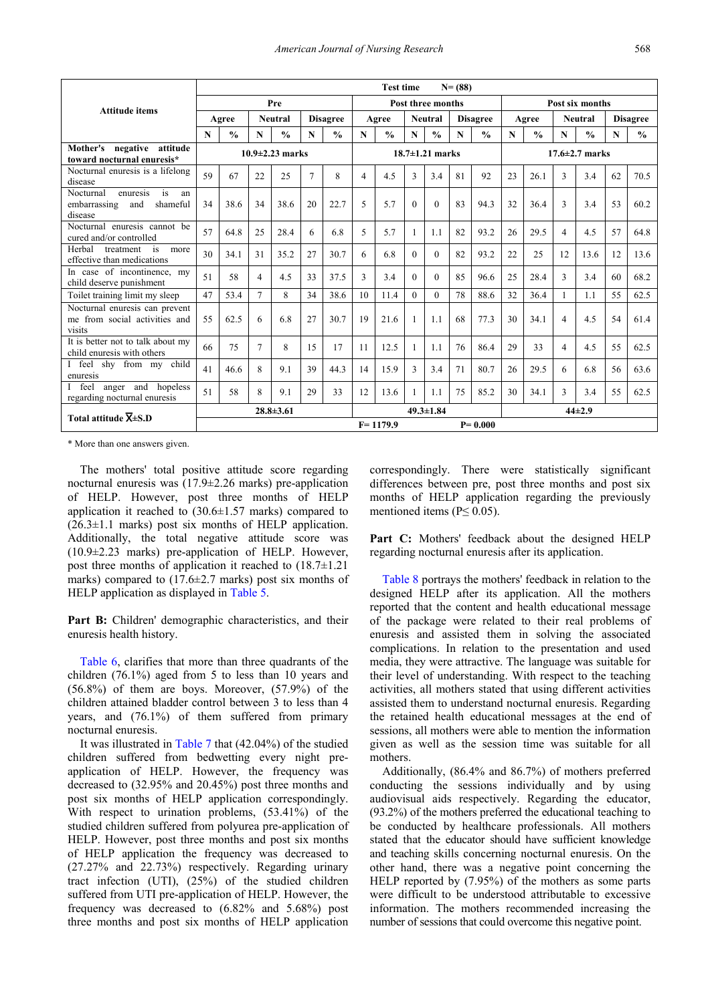|                                                                                 |                       |               |    |                 |                |                       |                          | <b>Test time</b> |                |               | $N = (88)$      |                      |             |                 |                |               |    |                 |
|---------------------------------------------------------------------------------|-----------------------|---------------|----|-----------------|----------------|-----------------------|--------------------------|------------------|----------------|---------------|-----------------|----------------------|-------------|-----------------|----------------|---------------|----|-----------------|
| <b>Attitude items</b>                                                           | Pre                   |               |    |                 |                |                       | <b>Post three months</b> |                  |                |               |                 |                      |             | Post six months |                |               |    |                 |
|                                                                                 |                       | Agree         |    | <b>Neutral</b>  |                | <b>Disagree</b>       |                          | Agree            | <b>Neutral</b> |               | <b>Disagree</b> |                      | Agree       |                 | <b>Neutral</b> |               |    | <b>Disagree</b> |
|                                                                                 | $\mathbf N$           | $\frac{0}{0}$ | N  | $\frac{0}{0}$   | N              | $\frac{0}{0}$         | N                        | $\frac{0}{0}$    | $\mathbf N$    | $\frac{0}{0}$ | $\mathbf N$     | $\frac{0}{0}$        | $\mathbf N$ | $\frac{0}{0}$   | N              | $\frac{0}{0}$ | N  | $\frac{0}{0}$   |
| Mother's negative attitude<br>toward nocturnal enuresis*                        | $10.9 \pm 2.23$ marks |               |    |                 |                | $18.7 \pm 1.21$ marks |                          |                  |                |               |                 | $17.6 \pm 2.7$ marks |             |                 |                |               |    |                 |
| Nocturnal enuresis is a lifelong<br>disease                                     | 59                    | 67            | 22 | 25              | $\overline{7}$ | 8                     | $\overline{4}$           | 4.5              | 3              | 3.4           | 81              | 92                   | 23          | 26.1            | 3              | 3.4           | 62 | 70.5            |
| Nocturnal<br>enuresis<br>is<br>an<br>shameful<br>embarrassing<br>and<br>disease | 34                    | 38.6          | 34 | 38.6            | 20             | 22.7                  | 5                        | 5.7              | $\theta$       | $\theta$      | 83              | 94.3                 | 32          | 36.4            | 3              | 3.4           | 53 | 60.2            |
| Nocturnal enuresis cannot be<br>cured and/or controlled                         | 57                    | 64.8          | 25 | 28.4            | 6              | 6.8                   | 5                        | 5.7              | $\mathbf{1}$   | 1.1           | 82              | 93.2                 | 26          | 29.5            | 4              | 4.5           | 57 | 64.8            |
| Herbal<br>treatment<br>is<br>more<br>effective than medications                 | 30                    | 34.1          | 31 | 35.2            | 27             | 30.7                  | 6                        | 6.8              | $\Omega$       | $\Omega$      | 82              | 93.2                 | 22          | 25              | 12             | 13.6          | 12 | 13.6            |
| In case of incontinence, my<br>child deserve punishment                         | 51                    | 58            | 4  | 4.5             | 33             | 37.5                  | 3                        | 3.4              | $\theta$       | $\theta$      | 85              | 96.6                 | 25          | 28.4            | $\mathcal{E}$  | 3.4           | 60 | 68.2            |
| Toilet training limit my sleep                                                  | 47                    | 53.4          |    | 8               | 34             | 38.6                  | 10                       | 11.4             | $\theta$       | $\Omega$      | 78              | 88.6                 | 32          | 36.4            |                | 1.1           | 55 | 62.5            |
| Nocturnal enuresis can prevent<br>me from social activities and<br>visits       | 55                    | 62.5          | 6  | 6.8             | 27             | 30.7                  | 19                       | 21.6             | 1              | 1.1           | 68              | 77.3                 | 30          | 34.1            | 4              | 4.5           | 54 | 61.4            |
| It is better not to talk about my<br>child enuresis with others                 | 66                    | 75            | 7  | 8               | 15             | 17                    | 11                       | 12.5             | 1              | 1.1           | 76              | 86.4                 | 29          | 33              | 4              | 4.5           | 55 | 62.5            |
| I feel<br>shy from my<br>child<br>enuresis                                      | 41                    | 46.6          | 8  | 9.1             | 39             | 44.3                  | 14                       | 15.9             | 3              | 3.4           | 71              | 80.7                 | 26          | 29.5            | 6              | 6.8           | 56 | 63.6            |
| feel<br>anger and hopeless<br>regarding nocturnal enuresis                      | 51                    | 58            | 8  | 9.1             | 29             | 33                    | 12                       | 13.6             | 1              | 1.1           | 75              | 85.2                 | 30          | 34.1            | 3              | 3.4           | 55 | 62.5            |
| Total attitude $\overline{X}$ ±S.D                                              |                       |               |    | $28.8 \pm 3.61$ |                |                       | $49.3 \pm 1.84$          |                  |                |               |                 |                      | $44\pm 2.9$ |                 |                |               |    |                 |
|                                                                                 |                       |               |    |                 |                |                       |                          | $F = 1179.9$     |                |               |                 | $P = 0.000$          |             |                 |                |               |    |                 |

\* More than one answers given.

The mothers' total positive attitude score regarding nocturnal enuresis was (17.9±2.26 marks) pre-application of HELP. However, post three months of HELP application it reached to  $(30.6\pm1.57 \text{ marks})$  compared to  $(26.3\pm1.1 \text{ marks})$  post six months of HELP application. Additionally, the total negative attitude score was (10.9±2.23 marks) pre-application of HELP. However, post three months of application it reached to (18.7±1.21 marks) compared to  $(17.6 \pm 2.7 \text{ marks})$  post six months of HELP application as displayed in [Table 5.](#page-6-0)

Part B: Children' demographic characteristics, and their enuresis health history.

[Table 6,](#page-6-1) clarifies that more than three quadrants of the children (76.1%) aged from 5 to less than 10 years and (56.8%) of them are boys. Moreover, (57.9%) of the children attained bladder control between 3 to less than 4 years, and (76.1%) of them suffered from primary nocturnal enuresis.

It was illustrated in [Table 7](#page-8-0) that (42.04%) of the studied children suffered from bedwetting every night preapplication of HELP. However, the frequency was decreased to (32.95% and 20.45%) post three months and post six months of HELP application correspondingly. With respect to urination problems, (53.41%) of the studied children suffered from polyurea pre-application of HELP. However, post three months and post six months of HELP application the frequency was decreased to (27.27% and 22.73%) respectively. Regarding urinary tract infection (UTI), (25%) of the studied children suffered from UTI pre-application of HELP. However, the frequency was decreased to (6.82% and 5.68%) post three months and post six months of HELP application correspondingly. There were statistically significant differences between pre, post three months and post six months of HELP application regarding the previously mentioned items ( $P \leq 0.05$ ).

Part C: Mothers' feedback about the designed HELP regarding nocturnal enuresis after its application.

[Table 8](#page-8-1) portrays the mothers' feedback in relation to the designed HELP after its application. All the mothers reported that the content and health educational message of the package were related to their real problems of enuresis and assisted them in solving the associated complications. In relation to the presentation and used media, they were attractive. The language was suitable for their level of understanding. With respect to the teaching activities, all mothers stated that using different activities assisted them to understand nocturnal enuresis. Regarding the retained health educational messages at the end of sessions, all mothers were able to mention the information given as well as the session time was suitable for all mothers.

Additionally, (86.4% and 86.7%) of mothers preferred conducting the sessions individually and by using audiovisual aids respectively. Regarding the educator, (93.2%) of the mothers preferred the educational teaching to be conducted by healthcare professionals. All mothers stated that the educator should have sufficient knowledge and teaching skills concerning nocturnal enuresis. On the other hand, there was a negative point concerning the HELP reported by (7.95%) of the mothers as some parts were difficult to be understood attributable to excessive information. The mothers recommended increasing the number of sessions that could overcome this negative point.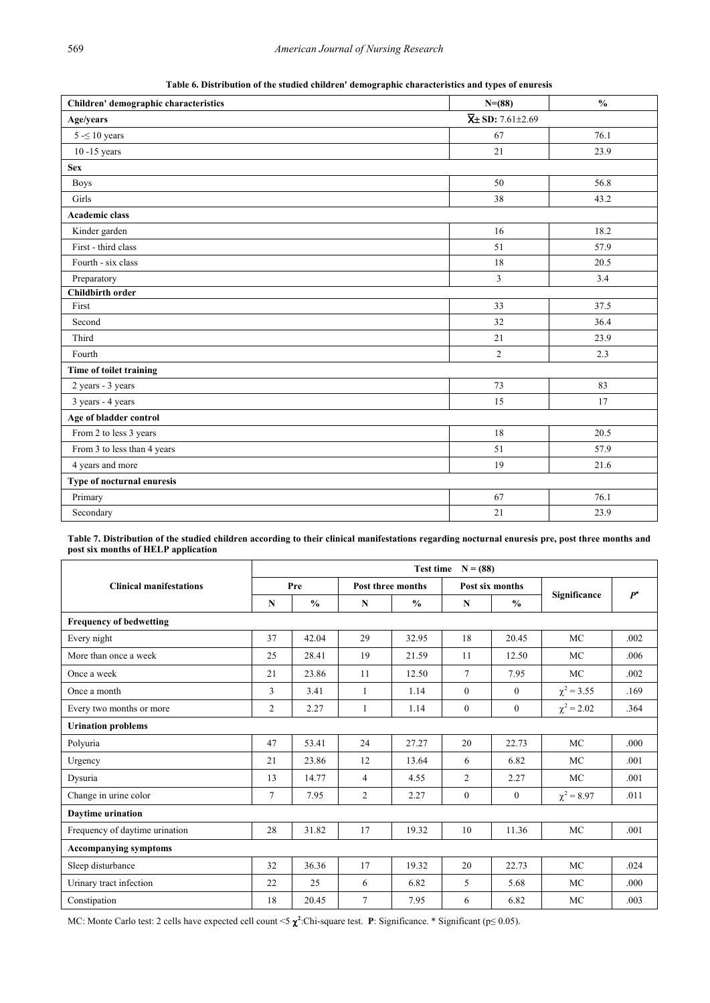**Table 6. Distribution of the studied children' demographic characteristics and types of enuresis**

<span id="page-8-0"></span>

| Children' demographic characteristics | $N=(88)$                                | $\frac{0}{0}$ |
|---------------------------------------|-----------------------------------------|---------------|
| Age/years                             | $\overline{\mathbf{X}}$ ± SD: 7.61±2.69 |               |
| $5 - 10$ years                        | 67                                      | 76.1          |
| $10 - 15$ years                       | 21                                      | 23.9          |
| <b>Sex</b>                            |                                         |               |
| <b>Boys</b>                           | 50                                      | 56.8          |
| Girls                                 | 38                                      | 43.2          |
| <b>Academic class</b>                 |                                         |               |
| Kinder garden                         | 16                                      | 18.2          |
| First - third class                   | 51                                      | 57.9          |
| Fourth - six class                    | 18                                      | 20.5          |
| Preparatory                           | $\overline{3}$                          | 3.4           |
| <b>Childbirth order</b>               |                                         |               |
| First                                 | 33                                      | 37.5          |
| Second                                | 32                                      | 36.4          |
| Third                                 | 21                                      | 23.9          |
| Fourth                                | $\overline{2}$                          | 2.3           |
| Time of toilet training               |                                         |               |
| 2 years - 3 years                     | 73                                      | 83            |
| 3 years - 4 years                     | 15                                      | 17            |
| Age of bladder control                |                                         |               |
| From 2 to less 3 years                | 18                                      | 20.5          |
| From 3 to less than 4 years           | 51                                      | 57.9          |
| 4 years and more                      | 19                                      | 21.6          |
| Type of nocturnal enuresis            |                                         |               |
| Primary                               | 67                                      | 76.1          |
| Secondary                             | 21                                      | 23.9          |

**Table 7. Distribution of the studied children according to their clinical manifestations regarding nocturnal enuresis pre, post three months and post six months of HELP application**

<span id="page-8-1"></span>

|                                | Test time $N = (88)$ |               |                   |               |                 |                |                 |       |  |  |  |  |  |  |
|--------------------------------|----------------------|---------------|-------------------|---------------|-----------------|----------------|-----------------|-------|--|--|--|--|--|--|
| <b>Clinical manifestations</b> |                      | Pre           | Post three months |               | Post six months |                |                 | $P^*$ |  |  |  |  |  |  |
|                                | N                    | $\frac{0}{0}$ | N                 | $\frac{0}{0}$ | N               | $\frac{0}{0}$  | Significance    |       |  |  |  |  |  |  |
| <b>Frequency of bedwetting</b> |                      |               |                   |               |                 |                |                 |       |  |  |  |  |  |  |
| Every night                    | 37                   | 42.04         | 29                | 32.95         | 18              | 20.45          | <b>MC</b>       | .002  |  |  |  |  |  |  |
| More than once a week          | 25                   | 28.41         | 19                | 21.59         | 11              | 12.50          | MC              | .006  |  |  |  |  |  |  |
| Once a week                    | 21                   | 23.86         | 11                | 12.50         | $\tau$          | 7.95           | MC              | .002  |  |  |  |  |  |  |
| Once a month                   | 3                    | 3.41          | $\mathbf{1}$      | 1.14          | $\mathbf{0}$    | $\overline{0}$ | $\chi^2$ = 3.55 | .169  |  |  |  |  |  |  |
| Every two months or more       | $\overline{2}$       | 2.27          | 1                 | 1.14          | $\mathbf{0}$    | $\mathbf{0}$   | $\chi^2$ = 2.02 | .364  |  |  |  |  |  |  |
| <b>Urination problems</b>      |                      |               |                   |               |                 |                |                 |       |  |  |  |  |  |  |
| Polyuria                       | 47                   | 53.41         | 24                | 27.27         | 20              | 22.73          | MC              | .000  |  |  |  |  |  |  |
| Urgency                        | 21                   | 23.86         | 12                | 13.64         | 6               | 6.82           | MC              | .001  |  |  |  |  |  |  |
| Dysuria                        | 13                   | 14.77         | $\overline{4}$    | 4.55          | $\overline{c}$  | 2.27           | MC              | .001  |  |  |  |  |  |  |
| Change in urine color          | 7                    | 7.95          | $\overline{2}$    | 2.27          | $\mathbf{0}$    | $\mathbf{0}$   | $\chi^2 = 8.97$ | .011  |  |  |  |  |  |  |
| <b>Daytime urination</b>       |                      |               |                   |               |                 |                |                 |       |  |  |  |  |  |  |
| Frequency of daytime urination | 28                   | 31.82         | 17                | 19.32         | 10              | 11.36          | <b>MC</b>       | .001  |  |  |  |  |  |  |
| <b>Accompanying symptoms</b>   |                      |               |                   |               |                 |                |                 |       |  |  |  |  |  |  |
| Sleep disturbance              | 32                   | 36.36         | 17                | 19.32         | 20              | 22.73          | MC              | .024  |  |  |  |  |  |  |
| Urinary tract infection        | 22                   | 25            | 6                 | 6.82          | 5               | 5.68           | <b>MC</b>       | .000  |  |  |  |  |  |  |
| Constipation                   | 18                   | 20.45         | $\tau$            | 7.95          | 6               | 6.82           | <b>MC</b>       | .003  |  |  |  |  |  |  |

MC: Monte Carlo test: 2 cells have expected cell count <5 χ**<sup>2</sup>** :Chi-square test. **P**: Significance. \* Significant (p≤ 0.05).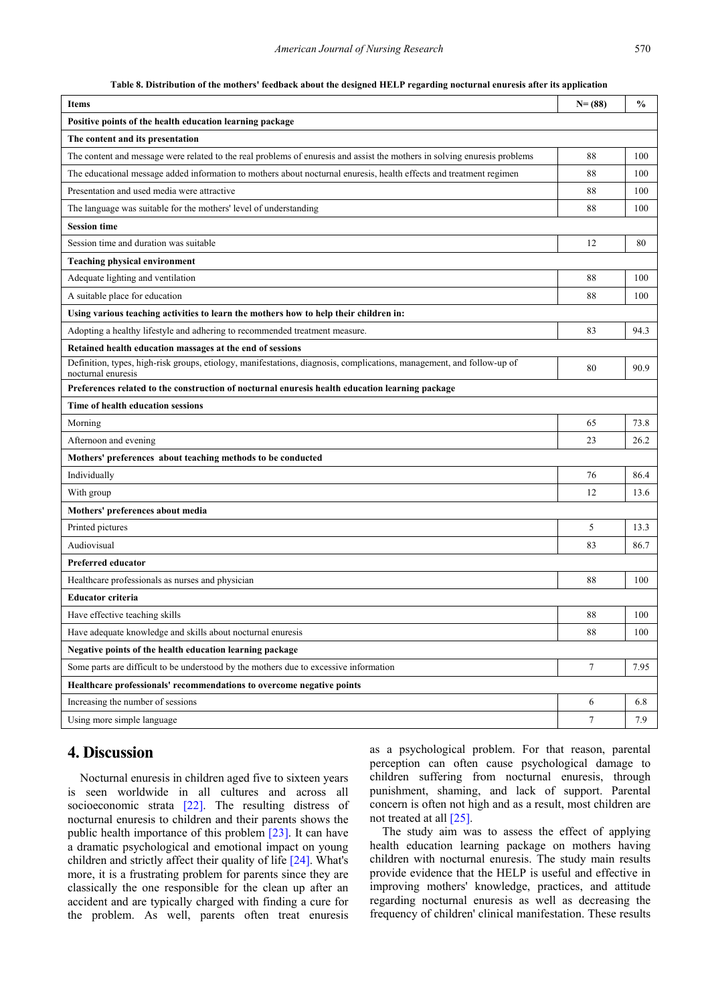#### **Table 8. Distribution of the mothers' feedback about the designed HELP regarding nocturnal enuresis after its application**

| <b>Items</b>                                                                                                                                | $N = (88)$       | $\frac{0}{0}$ |
|---------------------------------------------------------------------------------------------------------------------------------------------|------------------|---------------|
| Positive points of the health education learning package                                                                                    |                  |               |
| The content and its presentation                                                                                                            |                  |               |
| The content and message were related to the real problems of enuresis and assist the mothers in solving enuresis problems                   | 88               | 100           |
| The educational message added information to mothers about nocturnal enuresis, health effects and treatment regimen                         | 88               | 100           |
| Presentation and used media were attractive                                                                                                 | 88               | 100           |
| The language was suitable for the mothers' level of understanding                                                                           | 88               | 100           |
| <b>Session time</b>                                                                                                                         |                  |               |
| Session time and duration was suitable                                                                                                      | 12               | 80            |
| <b>Teaching physical environment</b>                                                                                                        |                  |               |
| Adequate lighting and ventilation                                                                                                           | 88               | 100           |
| A suitable place for education                                                                                                              | 88               | 100           |
| Using various teaching activities to learn the mothers how to help their children in:                                                       |                  |               |
| Adopting a healthy lifestyle and adhering to recommended treatment measure.                                                                 | 83               | 94.3          |
| Retained health education massages at the end of sessions                                                                                   |                  |               |
| Definition, types, high-risk groups, etiology, manifestations, diagnosis, complications, management, and follow-up of<br>nocturnal enuresis | 80               | 90.9          |
| Preferences related to the construction of nocturnal enuresis health education learning package                                             |                  |               |
| Time of health education sessions                                                                                                           |                  |               |
| Morning                                                                                                                                     | 65               | 73.8          |
| Afternoon and evening                                                                                                                       | 23               | 26.2          |
| Mothers' preferences about teaching methods to be conducted                                                                                 |                  |               |
| Individually                                                                                                                                | 76               | 86.4          |
| With group                                                                                                                                  | 12               | 13.6          |
| Mothers' preferences about media                                                                                                            |                  |               |
| Printed pictures                                                                                                                            | 5                | 13.3          |
| Audiovisual                                                                                                                                 | 83               | 86.7          |
| <b>Preferred educator</b>                                                                                                                   |                  |               |
| Healthcare professionals as nurses and physician                                                                                            | 88               | 100           |
| Educator criteria                                                                                                                           |                  |               |
| Have effective teaching skills                                                                                                              | 88               | 100           |
| Have adequate knowledge and skills about nocturnal enuresis                                                                                 | 88               | 100           |
| Negative points of the health education learning package                                                                                    |                  |               |
| Some parts are difficult to be understood by the mothers due to excessive information                                                       | $\boldsymbol{7}$ | 7.95          |
| Healthcare professionals' recommendations to overcome negative points                                                                       |                  |               |
| Increasing the number of sessions                                                                                                           | 6                | 6.8           |
| Using more simple language                                                                                                                  | $\tau$           | 7.9           |

# **4. Discussion**

Nocturnal enuresis in children aged five to sixteen years is seen worldwide in all cultures and across all socioeconomic strata [\[22\].](#page-11-7) The resulting distress of nocturnal enuresis to children and their parents shows the public health importance of this problem [\[23\].](#page-11-8) It can have a dramatic psychological and emotional impact on young children and strictly affect their quality of life [\[24\].](#page-11-9) What's more, it is a frustrating problem for parents since they are classically the one responsible for the clean up after an accident and are typically charged with finding a cure for the problem. As well, parents often treat enuresis as a psychological problem. For that reason, parental perception can often cause psychological damage to children suffering from nocturnal enuresis, through punishment, shaming, and lack of support. Parental concern is often not high and as a result, most children are not treated at all [\[25\].](#page-11-10)

The study aim was to assess the effect of applying health education learning package on mothers having children with nocturnal enuresis. The study main results provide evidence that the HELP is useful and effective in improving mothers' knowledge, practices, and attitude regarding nocturnal enuresis as well as decreasing the frequency of children' clinical manifestation. These results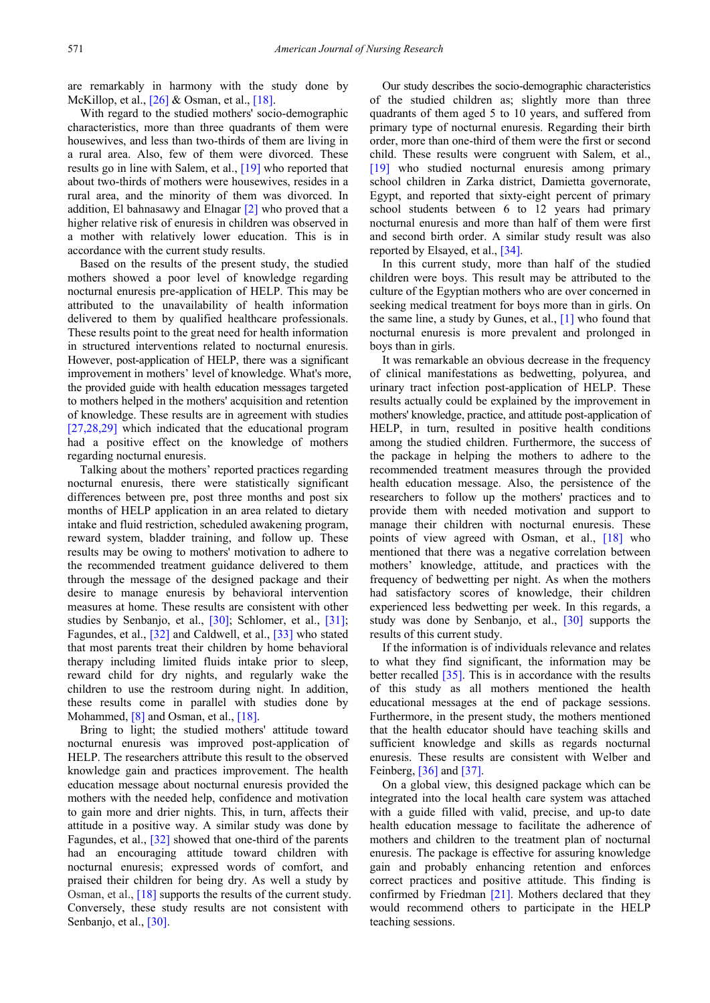are remarkably in harmony with the study done by McKillop, et al., [\[26\]](#page-11-11) & Osman, et al., [\[18\].](#page-11-12)

With regard to the studied mothers' socio-demographic characteristics, more than three quadrants of them were housewives, and less than two-thirds of them are living in a rural area. Also, few of them were divorced. These results go in line with Salem, et al., [\[19\]](#page-11-13) who reported that about two-thirds of mothers were housewives, resides in a rural area, and the minority of them was divorced. In addition, El bahnasawy and Elnagar [\[2\]](#page-3-9) who proved that a higher relative risk of enuresis in children was observed in a mother with relatively lower education. This is in accordance with the current study results.

Based on the results of the present study, the studied mothers showed a poor level of knowledge regarding nocturnal enuresis pre-application of HELP. This may be attributed to the unavailability of health information delivered to them by qualified healthcare professionals. These results point to the great need for health information in structured interventions related to nocturnal enuresis. However, post-application of HELP, there was a significant improvement in mothers' level of knowledge. What's more, the provided guide with health education messages targeted to mothers helped in the mothers' acquisition and retention of knowledge. These results are in agreement with studies [\[27,28,29\]](#page-11-14) which indicated that the educational program had a positive effect on the knowledge of mothers regarding nocturnal enuresis.

Talking about the mothers' reported practices regarding nocturnal enuresis, there were statistically significant differences between pre, post three months and post six months of HELP application in an area related to dietary intake and fluid restriction, scheduled awakening program, reward system, bladder training, and follow up. These results may be owing to mothers' motivation to adhere to the recommended treatment guidance delivered to them through the message of the designed package and their desire to manage enuresis by behavioral intervention measures at home. These results are consistent with other studies by Senbanjo, et al., [\[30\];](#page-11-15) Schlomer, et al., [\[31\];](#page-11-16) Fagundes, et al., [\[32\]](#page-12-0) and Caldwell, et al., [\[33\]](#page-12-1) who stated that most parents treat their children by home behavioral therapy including limited fluids intake prior to sleep, reward child for dry nights, and regularly wake the children to use the restroom during night. In addition, these results come in parallel with studies done by Mohammed, [\[8\]](#page-3-5) and Osman, et al., [\[18\].](#page-11-12)

Bring to light; the studied mothers' attitude toward nocturnal enuresis was improved post-application of HELP. The researchers attribute this result to the observed knowledge gain and practices improvement. The health education message about nocturnal enuresis provided the mothers with the needed help, confidence and motivation to gain more and drier nights. This, in turn, affects their attitude in a positive way. A similar study was done by Fagundes, et al., [\[32\]](#page-12-0) showed that one-third of the parents had an encouraging attitude toward children with nocturnal enuresis; expressed words of comfort, and praised their children for being dry. As well a study by Osman, et al.[, \[18\]](#page-11-12) supports the results of the current study. Conversely, these study results are not consistent with Senbanjo, et al., [\[30\].](#page-11-15)

Our study describes the socio-demographic characteristics of the studied children as; slightly more than three quadrants of them aged 5 to 10 years, and suffered from primary type of nocturnal enuresis. Regarding their birth order, more than one-third of them were the first or second child. These results were congruent with Salem, et al., [\[19\]](#page-11-13) who studied nocturnal enuresis among primary school children in Zarka district, Damietta governorate, Egypt, and reported that sixty-eight percent of primary school students between 6 to 12 years had primary nocturnal enuresis and more than half of them were first and second birth order. A similar study result was also reported by Elsayed, et al., [\[34\].](#page-12-2)

In this current study, more than half of the studied children were boys. This result may be attributed to the culture of the Egyptian mothers who are over concerned in seeking medical treatment for boys more than in girls. On the same line, a study by Gunes, et al., [\[1\]](#page-3-0) who found that nocturnal enuresis is more prevalent and prolonged in boys than in girls.

It was remarkable an obvious decrease in the frequency of clinical manifestations as bedwetting, polyurea, and urinary tract infection post-application of HELP. These results actually could be explained by the improvement in mothers' knowledge, practice, and attitude post-application of HELP, in turn, resulted in positive health conditions among the studied children. Furthermore, the success of the package in helping the mothers to adhere to the recommended treatment measures through the provided health education message. Also, the persistence of the researchers to follow up the mothers' practices and to provide them with needed motivation and support to manage their children with nocturnal enuresis. These points of view agreed with Osman, et al., [\[18\]](#page-11-12) who mentioned that there was a negative correlation between mothers' knowledge, attitude, and practices with the frequency of bedwetting per night. As when the mothers had satisfactory scores of knowledge, their children experienced less bedwetting per week. In this regards, a study was done by Senbanjo, et al., [\[30\]](#page-11-15) supports the results of this current study.

If the information is of individuals relevance and relates to what they find significant, the information may be better recalled [\[35\].](#page-12-3) This is in accordance with the results of this study as all mothers mentioned the health educational messages at the end of package sessions. Furthermore, in the present study, the mothers mentioned that the health educator should have teaching skills and sufficient knowledge and skills as regards nocturnal enuresis. These results are consistent with Welber and Feinberg[, \[36\]](#page-12-4) and [\[37\].](#page-12-5)

On a global view, this designed package which can be integrated into the local health care system was attached with a guide filled with valid, precise, and up-to date health education message to facilitate the adherence of mothers and children to the treatment plan of nocturnal enuresis. The package is effective for assuring knowledge gain and probably enhancing retention and enforces correct practices and positive attitude. This finding is confirmed by Friedman [\[21\].](#page-11-17) Mothers declared that they would recommend others to participate in the HELP teaching sessions.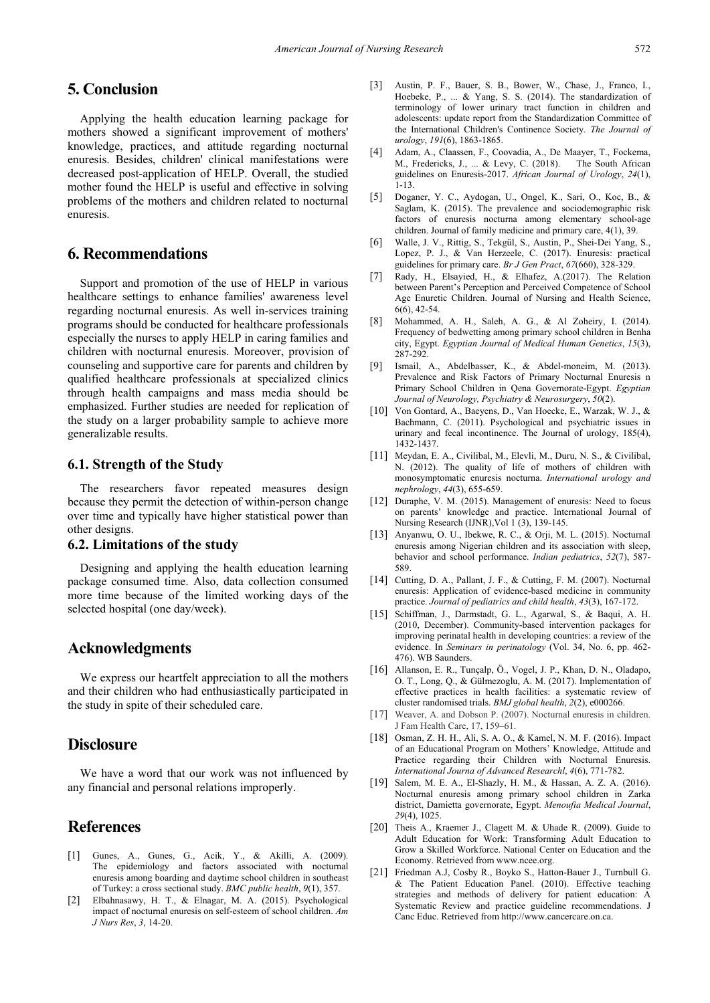# **5. Conclusion**

Applying the health education learning package for mothers showed a significant improvement of mothers' knowledge, practices, and attitude regarding nocturnal enuresis. Besides, children' clinical manifestations were decreased post-application of HELP. Overall, the studied mother found the HELP is useful and effective in solving problems of the mothers and children related to nocturnal enuresis.

# **6. Recommendations**

Support and promotion of the use of HELP in various healthcare settings to enhance families' awareness level regarding nocturnal enuresis. As well in-services training programs should be conducted for healthcare professionals especially the nurses to apply HELP in caring families and children with nocturnal enuresis. Moreover, provision of counseling and supportive care for parents and children by qualified healthcare professionals at specialized clinics through health campaigns and mass media should be emphasized. Further studies are needed for replication of the study on a larger probability sample to achieve more generalizable results.

## **6.1. Strength of the Study**

The researchers favor repeated measures design because they permit the detection of within-person change over time and typically have higher statistical power than other designs.

## **6.2. Limitations of the study**

Designing and applying the health education learning package consumed time. Also, data collection consumed more time because of the limited working days of the selected hospital (one day/week).

## **Acknowledgments**

We express our heartfelt appreciation to all the mothers and their children who had enthusiastically participated in the study in spite of their scheduled care.

# **Disclosure**

We have a word that our work was not influenced by any financial and personal relations improperly.

# **References**

- <span id="page-11-0"></span>[1] Gunes, A., Gunes, G., Acik, Y., & Akilli, A. (2009). The epidemiology and factors associated with nocturnal enuresis among boarding and daytime school children in southeast of Turkey: a cross sectional study. *BMC public health*, *9*(1), 357.
- [2] Elbahnasawy, H. T., & Elnagar, M. A. (2015). Psychological impact of nocturnal enuresis on self-esteem of school children. *Am J Nurs Res*, *3*, 14-20.
- <span id="page-11-1"></span>[3] Austin, P. F., Bauer, S. B., Bower, W., Chase, J., Franco, I., Hoebeke, P., ... & Yang, S. S. (2014). The standardization of terminology of lower urinary tract function in children and adolescents: update report from the Standardization Committee of the International Children's Continence Society. *The Journal of urology*, *191*(6), 1863-1865.
- <span id="page-11-2"></span>[4] Adam, A., Claassen, F., Coovadia, A., De Maayer, T., Fockema, M., Fredericks, J., ... & Levy, C. (2018). guidelines on Enuresis-2017. *African Journal of Urology*, *24*(1), 1-13.
- <span id="page-11-3"></span>[5] Doganer, Y. C., Aydogan, U., Ongel, K., Sari, O., Koc, B., & Saglam, K. (2015). The prevalence and sociodemographic risk factors of enuresis nocturna among elementary school-age children. Journal of family medicine and primary care, 4(1), 39.
- <span id="page-11-4"></span>[6] Walle, J. V., Rittig, S., Tekgül, S., Austin, P., Shei-Dei Yang, S., Lopez, P. J., & Van Herzeele, C. (2017). Enuresis: practical guidelines for primary care. *Br J Gen Pract*, *67*(660), 328-329.
- <span id="page-11-5"></span>[7] Rady, H., Elsayied, H., & Elhafez, A.(2017). The Relation between Parent's Perception and Perceived Competence of School Age Enuretic Children. Journal of Nursing and Health Science, 6(6), 42-54.
- <span id="page-11-12"></span>[8] Mohammed, A. H., Saleh, A. G., & Al Zoheiry, I. (2014). Frequency of bedwetting among primary school children in Benha city, Egypt. *Egyptian Journal of Medical Human Genetics*, *15*(3), 287-292.
- <span id="page-11-13"></span>[9] Ismail, A., Abdelbasser, K., & Abdel-moneim, M. (2013). Prevalence and Risk Factors of Primary Nocturnal Enuresis n Primary School Children in Qena Governorate-Egypt. *Egyptian Journal of Neurology, Psychiatry & Neurosurgery*, *50*(2).
- <span id="page-11-6"></span>[10] Von Gontard, A., Baeyens, D., Van Hoecke, E., Warzak, W. J., & Bachmann, C. (2011). Psychological and psychiatric issues in urinary and fecal incontinence. The Journal of urology, 185(4), 1432-1437.
- <span id="page-11-17"></span>[11] Meydan, E. A., Civilibal, M., Elevli, M., Duru, N. S., & Civilibal, N. (2012). The quality of life of mothers of children with monosymptomatic enuresis nocturna. *International urology and nephrology*, *44*(3), 655-659.
- <span id="page-11-7"></span>[12] Duraphe, V. M. (2015). Management of enuresis: Need to focus on parents' knowledge and practice. International Journal of Nursing Research (IJNR),Vol 1 (3), 139-145.
- <span id="page-11-8"></span>[13] Anyanwu, O. U., Ibekwe, R. C., & Orji, M. L. (2015). Nocturnal enuresis among Nigerian children and its association with sleep, behavior and school performance. *Indian pediatrics*, *52*(7), 587- 589.
- <span id="page-11-9"></span>[14] Cutting, D. A., Pallant, J. F., & Cutting, F. M. (2007). Nocturnal enuresis: Application of evidence-based medicine in community practice. *Journal of pediatrics and child health*, *43*(3), 167-172.
- <span id="page-11-10"></span>[15] Schiffman, J., Darmstadt, G. L., Agarwal, S., & Baqui, A. H. (2010, December). Community-based intervention packages for improving perinatal health in developing countries: a review of the evidence. In *Seminars in perinatology* (Vol. 34, No. 6, pp. 462- 476). WB Saunders.
- <span id="page-11-11"></span>[16] Allanson, E. R., Tunçalp, Ö., Vogel, J. P., Khan, D. N., Oladapo, O. T., Long, Q., & Gülmezoglu, A. M. (2017). Implementation of effective practices in health facilities: a systematic review of cluster randomised trials. *BMJ global health*, *2*(2), e000266.
- <span id="page-11-14"></span>[17] Weaver, A. and Dobson P. (2007). Nocturnal enuresis in children. J Fam Health Care, 17, 159–61.
- [18] Osman, Z. H. H., Ali, S. A. O., & Kamel, N. M. F. (2016). Impact of an Educational Program on Mothers' Knowledge, Attitude and Practice regarding their Children with Nocturnal Enuresis. *International Journa of Advanced Researchl*, *4*(6), 771-782.
- [19] Salem, M. E. A., El-Shazly, H. M., & Hassan, A. Z. A. (2016). Nocturnal enuresis among primary school children in Zarka district, Damietta governorate, Egypt. *Menoufia Medical Journal*, *29*(4), 1025.
- <span id="page-11-15"></span>[20] Theis A., Kraemer J., Clagett M. & Uhade R. (2009). Guide to Adult Education for Work: Transforming Adult Education to Grow a Skilled Workforce. National Center on Education and the Economy. Retrieved from www.ncee.org.
- <span id="page-11-16"></span>[21] Friedman A.J, Cosby R., Boyko S., Hatton-Bauer J., Turnbull G. & The Patient Education Panel. (2010). Effective teaching strategies and methods of delivery for patient education: A Systematic Review and practice guideline recommendations. J Canc Educ. Retrieved from http://www.cancercare.on.ca.